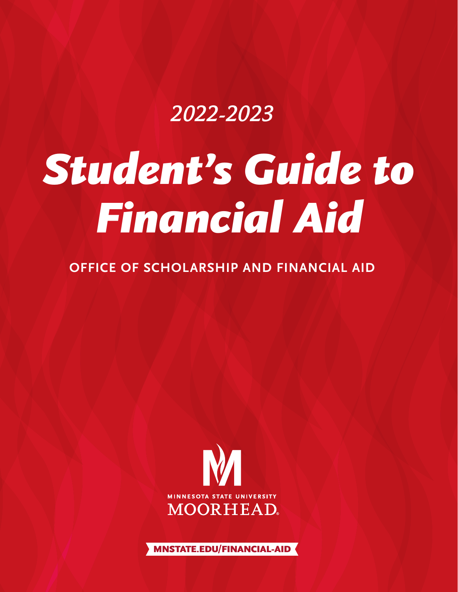# 2022-2023

# *Student's Guide to Financial Aid*

# **OFFICE OF SCHOLARSHIP AND FINANCIAL AID**



MNSTATE.EDU**/**FINANCIAL-AID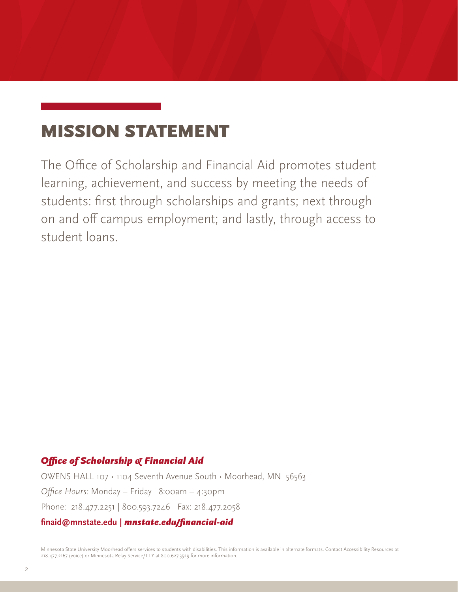# MISSION STATEMENT

The Office of Scholarship and Financial Aid promotes student learning, achievement, and success by meeting the needs of students: first through scholarships and grants; next through on and off campus employment; and lastly, through access to student loans.

# *Office of Scholarship & Financial Aid*

OWENS HALL 107 • 1104 Seventh Avenue South • Moorhead, MN 56563 *Office Hours:* Monday – Friday 8:00am – 4:30pm Phone: 218.477.2251 | 800.593.7246 Fax: 218.477.2058 **finaid@mnstate.edu |** *mnstate.edu/financial-aid*

Minnesota State University Moorhead offers services to students with disabilities. This information is available in alternate formats. Contact Accessibility Resources at 218.477.2167 (voice) or Minnesota Relay Service/TTY at 800.627.3529 for more information.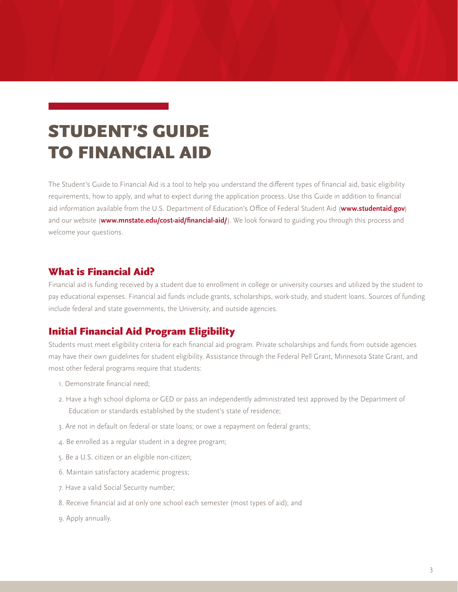# STUDENT'S GUIDE TO FINANCIAL AID

The Student's Guide to Financial Aid is a tool to help you understand the different types of financial aid, basic eligibility requirements, how to apply, and what to expect during the application process. Use this Guide in addition to financial aid information available from the U.S. Department of Education's Office of Federal Student Aid (**www.studentaid.gov**) and our website (**www.mnstate.edu/cost-aid/financial-aid/**). We look forward to guiding you through this process and welcome your questions.

## What is Financial Aid?

Financial aid is funding received by a student due to enrollment in college or university courses and utilized by the student to pay educational expenses. Financial aid funds include grants, scholarships, work-study, and student loans. Sources of funding include federal and state governments, the University, and outside agencies.

## Initial Financial Aid Program Eligibility

Students must meet eligibility criteria for each financial aid program. Private scholarships and funds from outside agencies may have their own guidelines for student eligibility. Assistance through the Federal Pell Grant, Minnesota State Grant, and most other federal programs require that students:

- 1. Demonstrate financial need;
- 2. Have a high school diploma or GED or pass an independently administrated test approved by the Department of Education or standards established by the student's state of residence;
- 3. Are not in default on federal or state loans; or owe a repayment on federal grants;
- 4. Be enrolled as a regular student in a degree program;
- 5. Be a U.S. citizen or an eligible non-citizen;
- 6. Maintain satisfactory academic progress;
- 7. Have a valid Social Security number;
- 8. Receive financial aid at only one school each semester (most types of aid); and
- 9. Apply annually.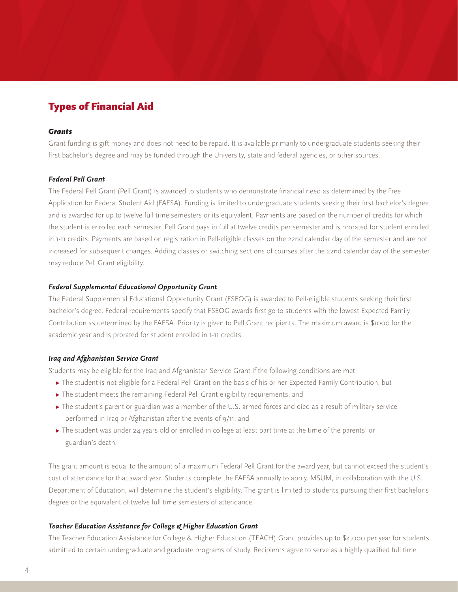# Types of Financial Aid

#### *Grants*

Grant funding is gift money and does not need to be repaid. It is available primarily to undergraduate students seeking their first bachelor's degree and may be funded through the University, state and federal agencies, or other sources.

#### *Federal Pell Grant*

The Federal Pell Grant (Pell Grant) is awarded to students who demonstrate financial need as determined by the Free Application for Federal Student Aid (FAFSA). Funding is limited to undergraduate students seeking their first bachelor's degree and is awarded for up to twelve full time semesters or its equivalent. Payments are based on the number of credits for which the student is enrolled each semester. Pell Grant pays in full at twelve credits per semester and is prorated for student enrolled in 1-11 credits. Payments are based on registration in Pell-eligible classes on the 22nd calendar day of the semester and are not increased for subsequent changes. Adding classes or switching sections of courses after the 22nd calendar day of the semester may reduce Pell Grant eligibility.

#### *Federal Supplemental Educational Opportunity Grant*

The Federal Supplemental Educational Opportunity Grant (FSEOG) is awarded to Pell-eligible students seeking their first bachelor's degree. Federal requirements specify that FSEOG awards first go to students with the lowest Expected Family Contribution as determined by the FAFSA. Priority is given to Pell Grant recipients. The maximum award is \$1000 for the academic year and is prorated for student enrolled in 1-11 credits.

#### *Iraq and Afghanistan Service Grant*

Students may be eligible for the Iraq and Afghanistan Service Grant if the following conditions are met:

- **▸** The student is not eligible for a Federal Pell Grant on the basis of his or her Expected Family Contribution, but
- **▸** The student meets the remaining Federal Pell Grant eligibility requirements, and
- **▸** The student's parent or guardian was a member of the U.S. armed forces and died as a result of military service performed in Iraq or Afghanistan after the events of 9/11, and
- **▸** The student was under 24 years old or enrolled in college at least part time at the time of the parents' or guardian's death.

The grant amount is equal to the amount of a maximum Federal Pell Grant for the award year, but cannot exceed the student's cost of attendance for that award year. Students complete the FAFSA annually to apply. MSUM, in collaboration with the U.S. Department of Education, will determine the student's eligibility. The grant is limited to students pursuing their first bachelor's degree or the equivalent of twelve full time semesters of attendance.

#### *Teacher Education Assistance for College & Higher Education Grant*

The Teacher Education Assistance for College & Higher Education (TEACH) Grant provides up to \$4,000 per year for students admitted to certain undergraduate and graduate programs of study. Recipients agree to serve as a highly qualified full time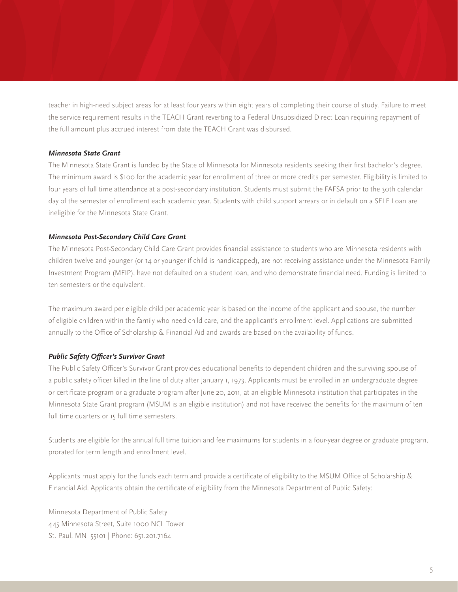teacher in high-need subject areas for at least four years within eight years of completing their course of study. Failure to meet the service requirement results in the TEACH Grant reverting to a Federal Unsubsidized Direct Loan requiring repayment of the full amount plus accrued interest from date the TEACH Grant was disbursed.

#### *Minnesota State Grant*

The Minnesota State Grant is funded by the State of Minnesota for Minnesota residents seeking their first bachelor's degree. The minimum award is \$100 for the academic year for enrollment of three or more credits per semester. Eligibility is limited to four years of full time attendance at a post-secondary institution. Students must submit the FAFSA prior to the 30th calendar day of the semester of enrollment each academic year. Students with child support arrears or in default on a SELF Loan are ineligible for the Minnesota State Grant.

#### *Minnesota Post-Secondary Child Care Grant*

The Minnesota Post-Secondary Child Care Grant provides financial assistance to students who are Minnesota residents with children twelve and younger (or 14 or younger if child is handicapped), are not receiving assistance under the Minnesota Family Investment Program (MFIP), have not defaulted on a student loan, and who demonstrate financial need. Funding is limited to ten semesters or the equivalent.

The maximum award per eligible child per academic year is based on the income of the applicant and spouse, the number of eligible children within the family who need child care, and the applicant's enrollment level. Applications are submitted annually to the Office of Scholarship & Financial Aid and awards are based on the availability of funds.

#### *Public Safety Officer's Survivor Grant*

The Public Safety Officer's Survivor Grant provides educational benefits to dependent children and the surviving spouse of a public safety officer killed in the line of duty after January 1, 1973. Applicants must be enrolled in an undergraduate degree or certificate program or a graduate program after June 20, 2011, at an eligible Minnesota institution that participates in the Minnesota State Grant program (MSUM is an eligible institution) and not have received the benefits for the maximum of ten full time quarters or 15 full time semesters.

Students are eligible for the annual full time tuition and fee maximums for students in a four-year degree or graduate program, prorated for term length and enrollment level.

Applicants must apply for the funds each term and provide a certificate of eligibility to the MSUM Office of Scholarship & Financial Aid. Applicants obtain the certificate of eligibility from the Minnesota Department of Public Safety:

Minnesota Department of Public Safety 445 Minnesota Street, Suite 1000 NCL Tower St. Paul, MN 55101 | Phone: 651.201.7164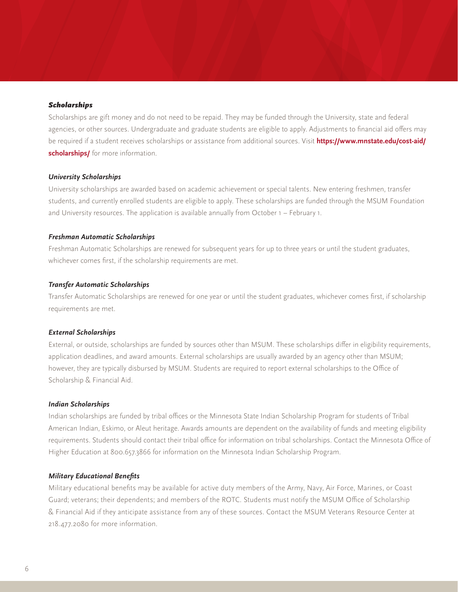#### *Scholarships*

Scholarships are gift money and do not need to be repaid. They may be funded through the University, state and federal agencies, or other sources. Undergraduate and graduate students are eligible to apply. Adjustments to financial aid offers may be required if a student receives scholarships or assistance from additional sources. Visit **https://www.mnstate.edu/cost-aid/ scholarships/** for more information.

#### *University Scholarships*

University scholarships are awarded based on academic achievement or special talents. New entering freshmen, transfer students, and currently enrolled students are eligible to apply. These scholarships are funded through the MSUM Foundation and University resources. The application is available annually from October 1 – February 1.

#### *Freshman Automatic Scholarships*

Freshman Automatic Scholarships are renewed for subsequent years for up to three years or until the student graduates, whichever comes first, if the scholarship requirements are met.

#### *Transfer Automatic Scholarships*

Transfer Automatic Scholarships are renewed for one year or until the student graduates, whichever comes first, if scholarship requirements are met.

#### *External Scholarships*

External, or outside, scholarships are funded by sources other than MSUM. These scholarships differ in eligibility requirements, application deadlines, and award amounts. External scholarships are usually awarded by an agency other than MSUM; however, they are typically disbursed by MSUM. Students are required to report external scholarships to the Office of Scholarship & Financial Aid.

#### *Indian Scholarships*

Indian scholarships are funded by tribal offices or the Minnesota State Indian Scholarship Program for students of Tribal American Indian, Eskimo, or Aleut heritage. Awards amounts are dependent on the availability of funds and meeting eligibility requirements. Students should contact their tribal office for information on tribal scholarships. Contact the Minnesota Office of Higher Education at 800.657.3866 for information on the Minnesota Indian Scholarship Program.

#### *Military Educational Benefits*

Military educational benefits may be available for active duty members of the Army, Navy, Air Force, Marines, or Coast Guard; veterans; their dependents; and members of the ROTC. Students must notify the MSUM Office of Scholarship & Financial Aid if they anticipate assistance from any of these sources. Contact the MSUM Veterans Resource Center at 218.477.2080 for more information.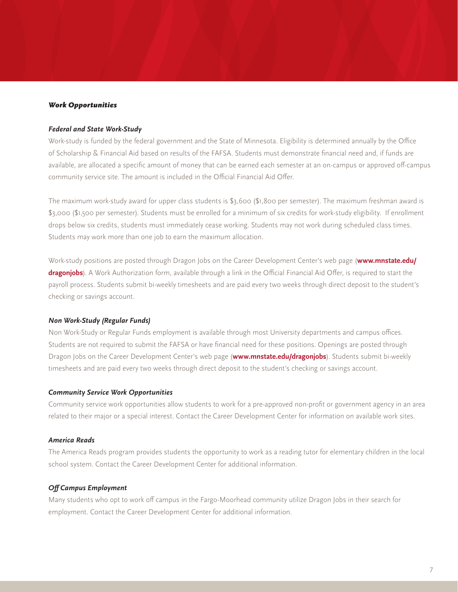#### *Work Opportunities*

#### *Federal and State Work-Study*

Work-study is funded by the federal government and the State of Minnesota. Eligibility is determined annually by the Office of Scholarship & Financial Aid based on results of the FAFSA. Students must demonstrate financial need and, if funds are available, are allocated a specific amount of money that can be earned each semester at an on-campus or approved off-campus community service site. The amount is included in the Official Financial Aid Offer.

The maximum work-study award for upper class students is \$3,600 (\$1,800 per semester). The maximum freshman award is \$3,000 (\$1,500 per semester). Students must be enrolled for a minimum of six credits for work-study eligibility. If enrollment drops below six credits, students must immediately cease working. Students may not work during scheduled class times. Students may work more than one job to earn the maximum allocation.

Work-study positions are posted through Dragon Jobs on the Career Development Center's web page (**www.mnstate.edu/ dragonjobs**). A Work Authorization form, available through a link in the Official Financial Aid Offer, is required to start the payroll process. Students submit bi-weekly timesheets and are paid every two weeks through direct deposit to the student's checking or savings account.

#### *Non Work-Study (Regular Funds)*

Non Work-Study or Regular Funds employment is available through most University departments and campus offices. Students are not required to submit the FAFSA or have financial need for these positions. Openings are posted through Dragon Jobs on the Career Development Center's web page (**www.mnstate.edu/dragonjobs**). Students submit bi-weekly timesheets and are paid every two weeks through direct deposit to the student's checking or savings account.

#### *Community Service Work Opportunities*

Community service work opportunities allow students to work for a pre-approved non-profit or government agency in an area related to their major or a special interest. Contact the Career Development Center for information on available work sites.

#### *America Reads*

The America Reads program provides students the opportunity to work as a reading tutor for elementary children in the local school system. Contact the Career Development Center for additional information.

#### *Off Campus Employment*

Many students who opt to work off campus in the Fargo-Moorhead community utilize Dragon Jobs in their search for employment. Contact the Career Development Center for additional information.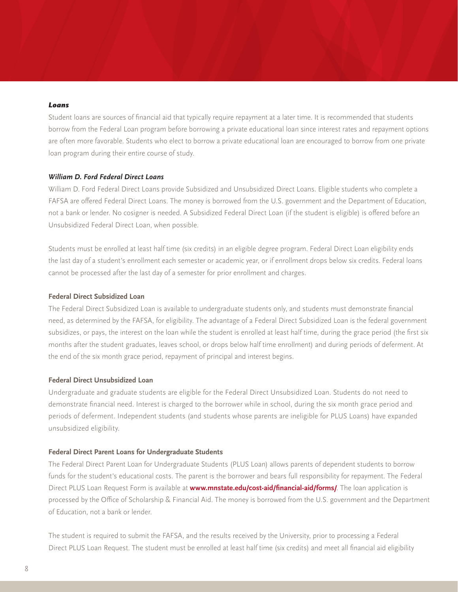#### *Loans*

Student loans are sources of financial aid that typically require repayment at a later time. It is recommended that students borrow from the Federal Loan program before borrowing a private educational loan since interest rates and repayment options are often more favorable. Students who elect to borrow a private educational loan are encouraged to borrow from one private loan program during their entire course of study.

#### *William D. Ford Federal Direct Loans*

William D. Ford Federal Direct Loans provide Subsidized and Unsubsidized Direct Loans. Eligible students who complete a FAFSA are offered Federal Direct Loans. The money is borrowed from the U.S. government and the Department of Education, not a bank or lender. No cosigner is needed. A Subsidized Federal Direct Loan (if the student is eligible) is offered before an Unsubsidized Federal Direct Loan, when possible.

Students must be enrolled at least half time (six credits) in an eligible degree program. Federal Direct Loan eligibility ends the last day of a student's enrollment each semester or academic year, or if enrollment drops below six credits. Federal loans cannot be processed after the last day of a semester for prior enrollment and charges.

#### **Federal Direct Subsidized Loan**

The Federal Direct Subsidized Loan is available to undergraduate students only, and students must demonstrate financial need, as determined by the FAFSA, for eligibility. The advantage of a Federal Direct Subsidized Loan is the federal government subsidizes, or pays, the interest on the loan while the student is enrolled at least half time, during the grace period (the first six months after the student graduates, leaves school, or drops below half time enrollment) and during periods of deferment. At the end of the six month grace period, repayment of principal and interest begins.

#### **Federal Direct Unsubsidized Loan**

Undergraduate and graduate students are eligible for the Federal Direct Unsubsidized Loan. Students do not need to demonstrate financial need. Interest is charged to the borrower while in school, during the six month grace period and periods of deferment. Independent students (and students whose parents are ineligible for PLUS Loans) have expanded unsubsidized eligibility.

#### **Federal Direct Parent Loans for Undergraduate Students**

The Federal Direct Parent Loan for Undergraduate Students (PLUS Loan) allows parents of dependent students to borrow funds for the student's educational costs. The parent is the borrower and bears full responsibility for repayment. The Federal Direct PLUS Loan Request Form is available at **www.mnstate.edu/cost-aid/financial-aid/forms/**. The loan application is processed by the Office of Scholarship & Financial Aid. The money is borrowed from the U.S. government and the Department of Education, not a bank or lender.

The student is required to submit the FAFSA, and the results received by the University, prior to processing a Federal Direct PLUS Loan Request. The student must be enrolled at least half time (six credits) and meet all financial aid eligibility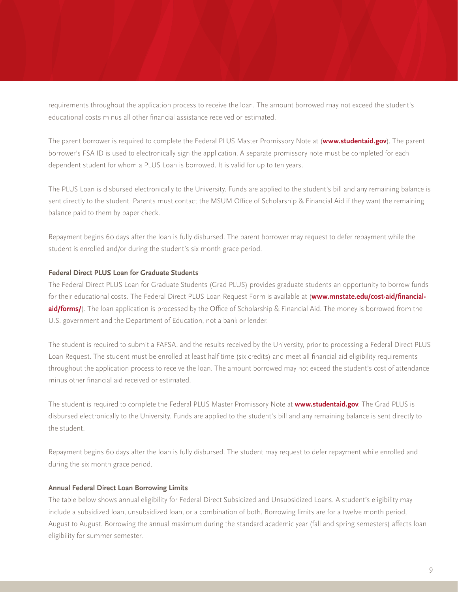requirements throughout the application process to receive the loan. The amount borrowed may not exceed the student's educational costs minus all other financial assistance received or estimated.

The parent borrower is required to complete the Federal PLUS Master Promissory Note at (**www.studentaid.gov**). The parent borrower's FSA ID is used to electronically sign the application. A separate promissory note must be completed for each dependent student for whom a PLUS Loan is borrowed. It is valid for up to ten years.

The PLUS Loan is disbursed electronically to the University. Funds are applied to the student's bill and any remaining balance is sent directly to the student. Parents must contact the MSUM Office of Scholarship & Financial Aid if they want the remaining balance paid to them by paper check.

Repayment begins 60 days after the loan is fully disbursed. The parent borrower may request to defer repayment while the student is enrolled and/or during the student's six month grace period.

#### **Federal Direct PLUS Loan for Graduate Students**

The Federal Direct PLUS Loan for Graduate Students (Grad PLUS) provides graduate students an opportunity to borrow funds for their educational costs. The Federal Direct PLUS Loan Request Form is available at (**www.mnstate.edu/cost-aid/financialaid/forms/**). The loan application is processed by the Office of Scholarship & Financial Aid. The money is borrowed from the U.S. government and the Department of Education, not a bank or lender.

The student is required to submit a FAFSA, and the results received by the University, prior to processing a Federal Direct PLUS Loan Request. The student must be enrolled at least half time (six credits) and meet all financial aid eligibility requirements throughout the application process to receive the loan. The amount borrowed may not exceed the student's cost of attendance minus other financial aid received or estimated.

The student is required to complete the Federal PLUS Master Promissory Note at **www.studentaid.gov**. The Grad PLUS is disbursed electronically to the University. Funds are applied to the student's bill and any remaining balance is sent directly to the student.

Repayment begins 60 days after the loan is fully disbursed. The student may request to defer repayment while enrolled and during the six month grace period.

#### **Annual Federal Direct Loan Borrowing Limits**

The table below shows annual eligibility for Federal Direct Subsidized and Unsubsidized Loans. A student's eligibility may include a subsidized loan, unsubsidized loan, or a combination of both. Borrowing limits are for a twelve month period, August to August. Borrowing the annual maximum during the standard academic year (fall and spring semesters) affects loan eligibility for summer semester.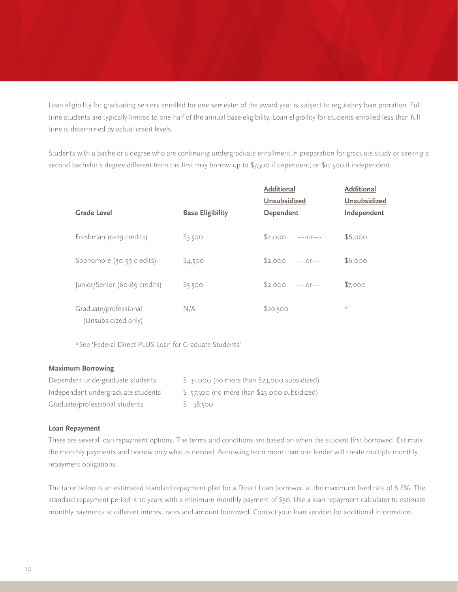Loan eligibility for graduating seniors enrolled for one semester of the award year is subject to regulatory loan proration. Full time students are typically limited to one-half of the annual base eligibility. Loan eligibility for students enrolled less than full time is determined by actual credit levels.

Students with a bachelor's degree who are continuing undergraduate enrollment in preparation for graduate study or seeking a second bachelor's degree different from the first may borrow up to \$7,500 if dependent, or \$12,500 if independent.

| <b>Grade Level</b>                           | <b>Base Eligibility</b> | <b>Additional</b><br><b>Unsubsidized</b><br>Dependent | <b>Additional</b><br><b>Unsubsidized</b><br>Independent |
|----------------------------------------------|-------------------------|-------------------------------------------------------|---------------------------------------------------------|
| Freshman (0-29 credits)                      | \$3,500                 | \$2.000<br>$---Of---$                                 | \$6,000                                                 |
| Sophomore (30-59 credits)                    | \$4,500                 | \$2,000<br>$---O1---$                                 | \$6,000                                                 |
| Junior/Senior (60-89 credits)                | \$5,500                 | $$2.000$ -----0r----                                  | \$7,000                                                 |
| Graduate/professional<br>(Unsubsidized only) | N/A                     | \$20,500                                              | $\frac{1}{2\sqrt{2}}$                                   |

\*See 'Federal Direct PLUS Loan for Graduate Students'

#### **Maximum Borrowing**

| Dependent undergraduate students   | \$ 31,000 (no more than \$23,000 subsidized) |
|------------------------------------|----------------------------------------------|
| Independent undergraduate students | \$57,500 (no more than \$23,000 subsidized)  |
| Graduate/professional students     | \$138,500                                    |

#### **Loan Repayment**

There are several loan repayment options. The terms and conditions are based on when the student first borrowed. Estimate the monthly payments and borrow only what is needed. Borrowing from more than one lender will create multiple monthly repayment obligations.

The table below is an estimated standard repayment plan for a Direct Loan borrowed at the maximum fixed rate of 6.8%. The standard repayment period is 10 years with a minimum monthly payment of \$50. Use a loan repayment calculator to estimate monthly payments at different interest rates and amount borrowed. Contact your loan servicer for additional information.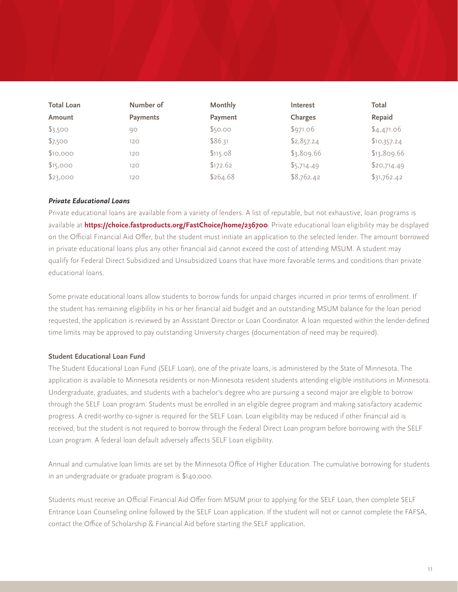| <b>Total Loan</b> | Number of       | <b>Monthly</b> | Interest   | Total       |
|-------------------|-----------------|----------------|------------|-------------|
| Amount            | <b>Payments</b> | Payment        | Charges    | Repaid      |
| \$3,500           | 90              | \$50.00        | \$971.06   | \$4,471.06  |
| \$7,500           | 120             | \$86.31        | \$2,857.24 | \$10,357.24 |
| \$10,000          | 120             | \$115.08       | \$3,809.66 | \$13,809.66 |
| \$15,000          | 120             | \$172.62       | \$5,714.49 | \$20,714.49 |
| \$23,000          | 120             | \$264.68       | \$8,762.42 | \$31,762.42 |

#### *Private Educational Loans*

Private educational loans are available from a variety of lenders. A list of reputable, but not exhaustive, loan programs is available at **https://choice.fastproducts.org/FastChoice/home/236700**. Private educational loan eligibility may be displayed on the Official Financial Aid Offer, but the student must initiate an application to the selected lender. The amount borrowed in private educational loans plus any other financial aid cannot exceed the cost of attending MSUM. A student may qualify for Federal Direct Subsidized and Unsubsidized Loans that have more favorable terms and conditions than private educational loans.

Some private educational loans allow students to borrow funds for unpaid charges incurred in prior terms of enrollment. If the student has remaining eligibility in his or her financial aid budget and an outstanding MSUM balance for the loan period requested, the application is reviewed by an Assistant Director or Loan Coordinator. A loan requested within the lender-defined time limits may be approved to pay outstanding University charges (documentation of need may be required).

#### **Student Educational Loan Fund**

The Student Educational Loan Fund (SELF Loan), one of the private loans, is administered by the State of Minnesota. The application is available to Minnesota residents or non-Minnesota resident students attending eligible institutions in Minnesota. Undergraduate, graduates, and students with a bachelor's degree who are pursuing a second major are eligible to borrow through the SELF Loan program. Students must be enrolled in an eligible degree program and making satisfactory academic progress. A credit-worthy co-signer is required for the SELF Loan. Loan eligibility may be reduced if other financial aid is received, but the student is not required to borrow through the Federal Direct Loan program before borrowing with the SELF Loan program. A federal loan default adversely affects SELF Loan eligibility.

Annual and cumulative loan limits are set by the Minnesota Office of Higher Education. The cumulative borrowing for students in an undergraduate or graduate program is \$140,000.

Students must receive an Official Financial Aid Offer from MSUM prior to applying for the SELF Loan, then complete SELF Entrance Loan Counseling online followed by the SELF Loan application. If the student will not or cannot complete the FAFSA, contact the Office of Scholarship & Financial Aid before starting the SELF application.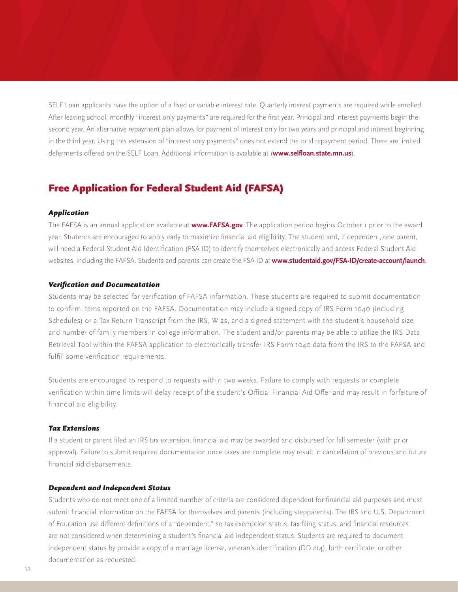SELF Loan applicants have the option of a fixed or variable interest rate. Quarterly interest payments are required while enrolled. After leaving school, monthly "interest only payments" are required for the first year. Principal and interest payments begin the second year. An alternative repayment plan allows for payment of interest only for two years and principal and interest beginning in the third year. Using this extension of "interest only payments" does not extend the total repayment period. There are limited deferments offered on the SELF Loan. Additional information is available at (**www.selfloan.state.mn.us**).

# Free Application for Federal Student Aid (FAFSA)

#### *Application*

The FAFSA is an annual application available at **www.FAFSA.gov**. The application period begins October 1 prior to the award year. Students are encouraged to apply early to maximize financial aid eligibility. The student and, if dependent, one parent, will need a Federal Student Aid Identification (FSA ID) to identify themselves electronically and access Federal Student Aid websites, including the FAFSA. Students and parents can create the FSA ID at **www.studentaid.gov/FSA-ID/create-account/launch**.

#### *Verification and Documentation*

Students may be selected for verification of FAFSA information. These students are required to submit documentation to confirm items reported on the FAFSA. Documentation may include a signed copy of IRS Form 1040 (including Schedules) or a Tax Return Transcript from the IRS, W-2s, and a signed statement with the student's household size and number of family members in college information. The student and/or parents may be able to utilize the IRS Data Retrieval Tool within the FAFSA application to electronically transfer IRS Form 1040 data from the IRS to the FAFSA and fulfill some verification requirements.

Students are encouraged to respond to requests within two weeks. Failure to comply with requests or complete verification within time limits will delay receipt of the student's Official Financial Aid Offer and may result in forfeiture of financial aid eligibility.

#### *Tax Extensions*

If a student or parent filed an IRS tax extension, financial aid may be awarded and disbursed for fall semester (with prior approval). Failure to submit required documentation once taxes are complete may result in cancellation of previous and future financial aid disbursements.

#### *Dependent and Independent Status*

Students who do not meet one of a limited number of criteria are considered dependent for financial aid purposes and must submit financial information on the FAFSA for themselves and parents (including stepparents). The IRS and U.S. Department of Education use different definitions of a "dependent," so tax exemption status, tax filing status, and financial resources are not considered when determining a student's financial aid independent status. Students are required to document independent status by provide a copy of a marriage license, veteran's identification (DD 214), birth certificate, or other documentation as requested.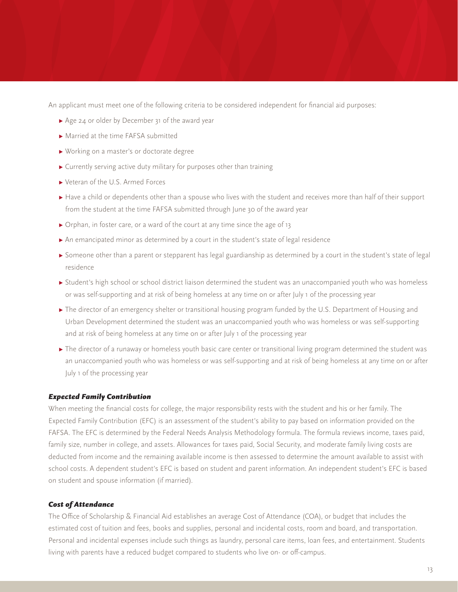An applicant must meet one of the following criteria to be considered independent for financial aid purposes:

- **▸** Age 24 or older by December 31 of the award year
- **▸** Married at the time FAFSA submitted
- **▸** Working on a master's or doctorate degree
- **▸** Currently serving active duty military for purposes other than training
- **▸** Veteran of the U.S. Armed Forces
- **▶** Have a child or dependents other than a spouse who lives with the student and receives more than half of their support from the student at the time FAFSA submitted through June 30 of the award year
- **▸** Orphan, in foster care, or a ward of the court at any time since the age of 13
- **▸** An emancipated minor as determined by a court in the student's state of legal residence
- **▶** Someone other than a parent or stepparent has legal guardianship as determined by a court in the student's state of legal residence
- **▸** Student's high school or school district liaison determined the student was an unaccompanied youth who was homeless or was self-supporting and at risk of being homeless at any time on or after July 1 of the processing year
- **▸** The director of an emergency shelter or transitional housing program funded by the U.S. Department of Housing and Urban Development determined the student was an unaccompanied youth who was homeless or was self-supporting and at risk of being homeless at any time on or after July 1 of the processing year
- **▸** The director of a runaway or homeless youth basic care center or transitional living program determined the student was an unaccompanied youth who was homeless or was self-supporting and at risk of being homeless at any time on or after July 1 of the processing year

#### *Expected Family Contribution*

When meeting the financial costs for college, the major responsibility rests with the student and his or her family. The Expected Family Contribution (EFC) is an assessment of the student's ability to pay based on information provided on the FAFSA. The EFC is determined by the Federal Needs Analysis Methodology formula. The formula reviews income, taxes paid, family size, number in college, and assets. Allowances for taxes paid, Social Security, and moderate family living costs are deducted from income and the remaining available income is then assessed to determine the amount available to assist with school costs. A dependent student's EFC is based on student and parent information. An independent student's EFC is based on student and spouse information (if married).

#### *Cost of Attendance*

The Office of Scholarship & Financial Aid establishes an average Cost of Attendance (COA), or budget that includes the estimated cost of tuition and fees, books and supplies, personal and incidental costs, room and board, and transportation. Personal and incidental expenses include such things as laundry, personal care items, loan fees, and entertainment. Students living with parents have a reduced budget compared to students who live on- or off-campus.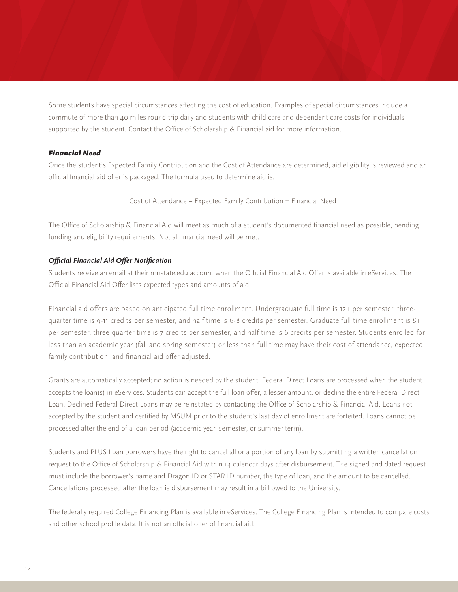Some students have special circumstances affecting the cost of education. Examples of special circumstances include a commute of more than 40 miles round trip daily and students with child care and dependent care costs for individuals supported by the student. Contact the Office of Scholarship & Financial aid for more information.

#### *Financial Need*

Once the student's Expected Family Contribution and the Cost of Attendance are determined, aid eligibility is reviewed and an official financial aid offer is packaged. The formula used to determine aid is:

Cost of Attendance – Expected Family Contribution = Financial Need

The Office of Scholarship & Financial Aid will meet as much of a student's documented financial need as possible, pending funding and eligibility requirements. Not all financial need will be met.

#### *Official Financial Aid Offer Notification*

Students receive an email at their mnstate.edu account when the Official Financial Aid Offer is available in eServices. The Official Financial Aid Offer lists expected types and amounts of aid.

Financial aid offers are based on anticipated full time enrollment. Undergraduate full time is 12+ per semester, threequarter time is 9-11 credits per semester, and half time is 6-8 credits per semester. Graduate full time enrollment is 8+ per semester, three-quarter time is 7 credits per semester, and half time is 6 credits per semester. Students enrolled for less than an academic year (fall and spring semester) or less than full time may have their cost of attendance, expected family contribution, and financial aid offer adjusted.

Grants are automatically accepted; no action is needed by the student. Federal Direct Loans are processed when the student accepts the loan(s) in eServices. Students can accept the full loan offer, a lesser amount, or decline the entire Federal Direct Loan. Declined Federal Direct Loans may be reinstated by contacting the Office of Scholarship & Financial Aid. Loans not accepted by the student and certified by MSUM prior to the student's last day of enrollment are forfeited. Loans cannot be processed after the end of a loan period (academic year, semester, or summer term).

Students and PLUS Loan borrowers have the right to cancel all or a portion of any loan by submitting a written cancellation request to the Office of Scholarship & Financial Aid within 14 calendar days after disbursement. The signed and dated request must include the borrower's name and Dragon ID or STAR ID number, the type of loan, and the amount to be cancelled. Cancellations processed after the loan is disbursement may result in a bill owed to the University.

The federally required College Financing Plan is available in eServices. The College Financing Plan is intended to compare costs and other school profile data. It is not an official offer of financial aid.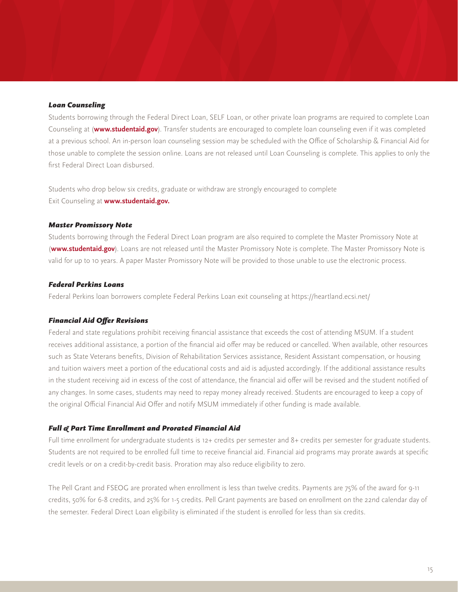#### *Loan Counseling*

Students borrowing through the Federal Direct Loan, SELF Loan, or other private loan programs are required to complete Loan Counseling at (**www.studentaid.gov**). Transfer students are encouraged to complete loan counseling even if it was completed at a previous school. An in-person loan counseling session may be scheduled with the Office of Scholarship & Financial Aid for those unable to complete the session online. Loans are not released until Loan Counseling is complete. This applies to only the first Federal Direct Loan disbursed.

Students who drop below six credits, graduate or withdraw are strongly encouraged to complete Exit Counseling at **www.studentaid.gov.**

#### *Master Promissory Note*

Students borrowing through the Federal Direct Loan program are also required to complete the Master Promissory Note at (**www.studentaid.gov**). Loans are not released until the Master Promissory Note is complete. The Master Promissory Note is valid for up to 10 years. A paper Master Promissory Note will be provided to those unable to use the electronic process.

#### *Federal Perkins Loans*

Federal Perkins loan borrowers complete Federal Perkins Loan exit counseling at https://heartland.ecsi.net/

#### *Financial Aid Offer Revisions*

Federal and state regulations prohibit receiving financial assistance that exceeds the cost of attending MSUM. If a student receives additional assistance, a portion of the financial aid offer may be reduced or cancelled. When available, other resources such as State Veterans benefits, Division of Rehabilitation Services assistance, Resident Assistant compensation, or housing and tuition waivers meet a portion of the educational costs and aid is adjusted accordingly. If the additional assistance results in the student receiving aid in excess of the cost of attendance, the financial aid offer will be revised and the student notified of any changes. In some cases, students may need to repay money already received. Students are encouraged to keep a copy of the original Official Financial Aid Offer and notify MSUM immediately if other funding is made available.

#### *Full & Part Time Enrollment and Prorated Financial Aid*

Full time enrollment for undergraduate students is 12+ credits per semester and 8+ credits per semester for graduate students. Students are not required to be enrolled full time to receive financial aid. Financial aid programs may prorate awards at specific credit levels or on a credit-by-credit basis. Proration may also reduce eligibility to zero.

The Pell Grant and FSEOG are prorated when enrollment is less than twelve credits. Payments are 75% of the award for 9-11 credits, 50% for 6-8 credits, and 25% for 1-5 credits. Pell Grant payments are based on enrollment on the 22nd calendar day of the semester. Federal Direct Loan eligibility is eliminated if the student is enrolled for less than six credits.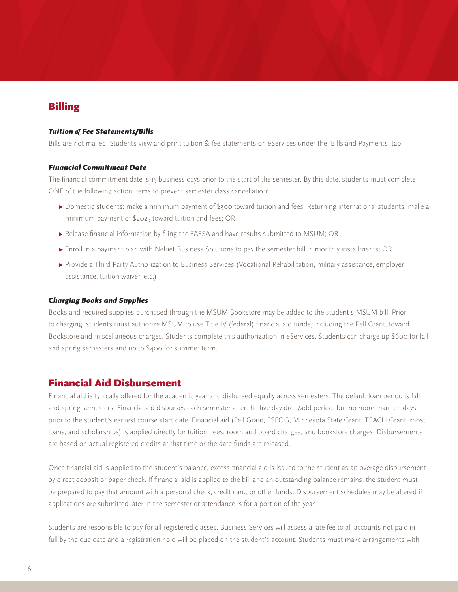# Billing

#### *Tuition & Fee Statements/Bills*

Bills are not mailed. Students view and print tuition & fee statements on eServices under the 'Bills and Payments' tab.

#### *Financial Commitment Date*

The financial commitment date is 15 business days prior to the start of the semester. By this date, students must complete ONE of the following action items to prevent semester class cancellation:

- **▸** Domestic students: make a minimum payment of \$300 toward tuition and fees; Returning international students: make a minimum payment of \$2025 toward tuition and fees; OR
- **▸** Release financial information by filing the FAFSA and have results submitted to MSUM; OR
- **▸** Enroll in a payment plan with Nelnet Business Solutions to pay the semester bill in monthly installments; OR
- **▸** Provide a Third Party Authorization to Business Services (Vocational Rehabilitation, military assistance, employer assistance, tuition waiver, etc.)

#### *Charging Books and Supplies*

Books and required supplies purchased through the MSUM Bookstore may be added to the student's MSUM bill. Prior to charging, students must authorize MSUM to use Title IV (federal) financial aid funds, including the Pell Grant, toward Bookstore and miscellaneous charges. Students complete this authorization in eServices. Students can charge up \$600 for fall and spring semesters and up to \$400 for summer term.

## Financial Aid Disbursement

Financial aid is typically offered for the academic year and disbursed equally across semesters. The default loan period is fall and spring semesters. Financial aid disburses each semester after the five day drop/add period, but no more than ten days prior to the student's earliest course start date. Financial aid (Pell Grant, FSEOG, Minnesota State Grant, TEACH Grant, most loans, and scholarships) is applied directly for tuition, fees, room and board charges, and bookstore charges. Disbursements are based on actual registered credits at that time or the date funds are released.

Once financial aid is applied to the student's balance, excess financial aid is issued to the student as an overage disbursement by direct deposit or paper check. If financial aid is applied to the bill and an outstanding balance remains, the student must be prepared to pay that amount with a personal check, credit card, or other funds. Disbursement schedules may be altered if applications are submitted later in the semester or attendance is for a portion of the year.

Students are responsible to pay for all registered classes. Business Services will assess a late fee to all accounts not paid in full by the due date and a registration hold will be placed on the student's account. Students must make arrangements with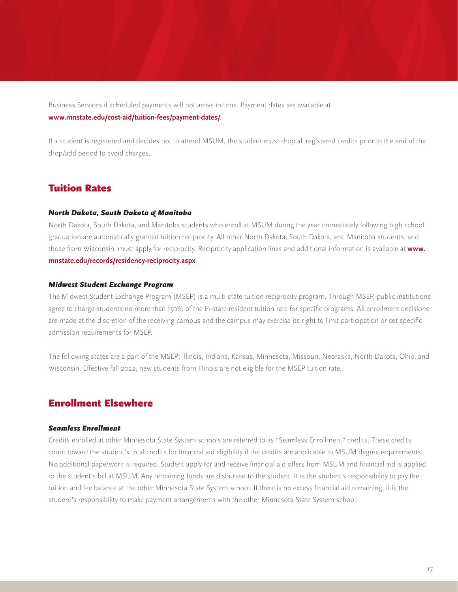Business Services if scheduled payments will not arrive in time. Payment dates are available at **www.mnstate.edu/cost-aid/tuition-fees/payment-dates/**.

If a student is registered and decides not to attend MSUM, the student must drop all registered credits prior to the end of the drop/add period to avoid charges.

# Tuition Rates

#### *North Dakota, South Dakota & Manitoba*

North Dakota, South Dakota, and Manitoba students who enroll at MSUM during the year immediately following high school graduation are automatically granted tuition reciprocity. All other North Dakota, South Dakota, and Manitoba students, and those from Wisconsin, must apply for reciprocity. Reciprocity application links and additional information is available at **www. mnstate.edu/records/residency-reciprocity.aspx**.

#### *Midwest Student Exchange Program*

The Midwest Student Exchange Program (MSEP) is a multi-state tuition reciprocity program. Through MSEP, public institutions agree to charge students no more than 150% of the in-state resident tuition rate for specific programs. All enrollment decisions are made at the discretion of the receiving campus and the campus may exercise its right to limit participation or set specific admission requirements for MSEP.

The following states are a part of the MSEP: Illinois, Indiana, Kansas, Minnesota, Missouri, Nebraska, North Dakota, Ohio, and Wisconsin. Effective fall 2022, new students from Illinois are not eligible for the MSEP tuition rate.

# Enrollment Elsewhere

#### *Seamless Enrollment*

Credits enrolled at other Minnesota State System schools are referred to as "Seamless Enrollment" credits. These credits count toward the student's total credits for financial aid eligibility if the credits are applicable to MSUM degree requirements. No additional paperwork is required. Student apply for and receive financial aid offers from MSUM and financial aid is applied to the student's bill at MSUM. Any remaining funds are disbursed to the student. It is the student's responsibility to pay the tuition and fee balance at the other Minnesota State System school. If there is no excess financial aid remaining, it is the student's responsibility to make payment arrangements with the other Minnesota State System school.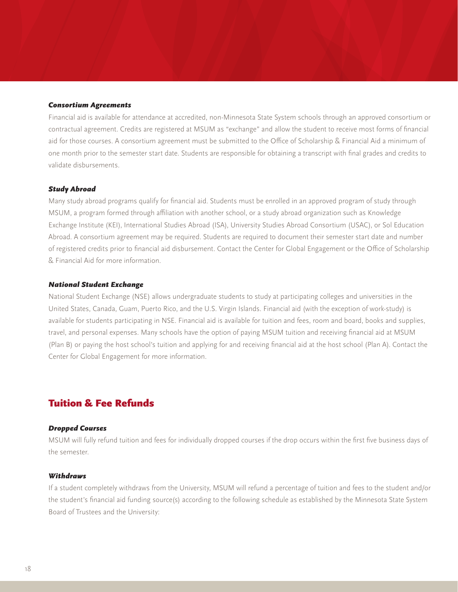#### *Consortium Agreements*

Financial aid is available for attendance at accredited, non-Minnesota State System schools through an approved consortium or contractual agreement. Credits are registered at MSUM as "exchange" and allow the student to receive most forms of financial aid for those courses. A consortium agreement must be submitted to the Office of Scholarship & Financial Aid a minimum of one month prior to the semester start date. Students are responsible for obtaining a transcript with final grades and credits to validate disbursements.

#### *Study Abroad*

Many study abroad programs qualify for financial aid. Students must be enrolled in an approved program of study through MSUM, a program formed through affiliation with another school, or a study abroad organization such as Knowledge Exchange Institute (KEI), International Studies Abroad (ISA), University Studies Abroad Consortium (USAC), or Sol Education Abroad. A consortium agreement may be required. Students are required to document their semester start date and number of registered credits prior to financial aid disbursement. Contact the Center for Global Engagement or the Office of Scholarship & Financial Aid for more information.

#### *National Student Exchange*

National Student Exchange (NSE) allows undergraduate students to study at participating colleges and universities in the United States, Canada, Guam, Puerto Rico, and the U.S. Virgin Islands. Financial aid (with the exception of work-study) is available for students participating in NSE. Financial aid is available for tuition and fees, room and board, books and supplies, travel, and personal expenses. Many schools have the option of paying MSUM tuition and receiving financial aid at MSUM (Plan B) or paying the host school's tuition and applying for and receiving financial aid at the host school (Plan A). Contact the Center for Global Engagement for more information.

# Tuition & Fee Refunds

#### *Dropped Courses*

MSUM will fully refund tuition and fees for individually dropped courses if the drop occurs within the first five business days of the semester.

#### *Withdraws*

If a student completely withdraws from the University, MSUM will refund a percentage of tuition and fees to the student and/or the student's financial aid funding source(s) according to the following schedule as established by the Minnesota State System Board of Trustees and the University: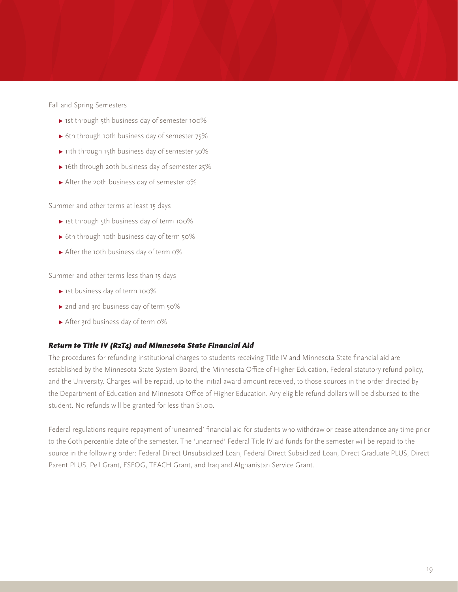Fall and Spring Semesters

- **▸** 1st through 5th business day of semester 100%
- **▸** 6th through 10th business day of semester 75%
- **▸** 11th through 15th business day of semester 50%
- **▸** 16th through 20th business day of semester 25%
- **▸** After the 20th business day of semester 0%

Summer and other terms at least 15 days

- **▸** 1st through 5th business day of term 100%
- **▸** 6th through 10th business day of term 50%
- **▸** After the 10th business day of term 0%

Summer and other terms less than 15 days

- **▸** 1st business day of term 100%
- **▸** 2nd and 3rd business day of term 50%
- **▸** After 3rd business day of term 0%

#### *Return to Title IV (R2T4) and Minnesota State Financial Aid*

The procedures for refunding institutional charges to students receiving Title IV and Minnesota State financial aid are established by the Minnesota State System Board, the Minnesota Office of Higher Education, Federal statutory refund policy, and the University. Charges will be repaid, up to the initial award amount received, to those sources in the order directed by the Department of Education and Minnesota Office of Higher Education. Any eligible refund dollars will be disbursed to the student. No refunds will be granted for less than \$1.00.

Federal regulations require repayment of 'unearned' financial aid for students who withdraw or cease attendance any time prior to the 60th percentile date of the semester. The 'unearned' Federal Title IV aid funds for the semester will be repaid to the source in the following order: Federal Direct Unsubsidized Loan, Federal Direct Subsidized Loan, Direct Graduate PLUS, Direct Parent PLUS, Pell Grant, FSEOG, TEACH Grant, and Iraq and Afghanistan Service Grant.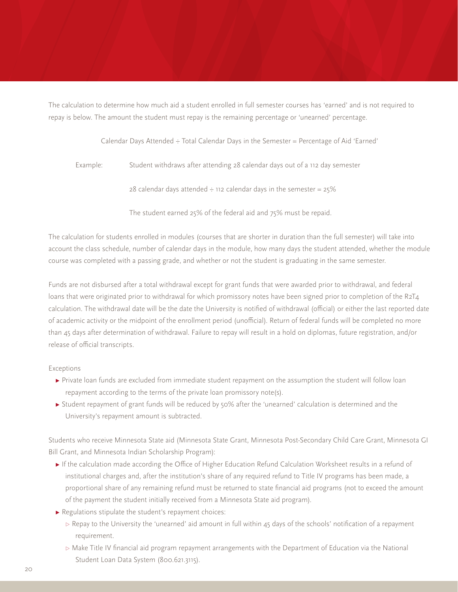The calculation to determine how much aid a student enrolled in full semester courses has 'earned' and is not required to repay is below. The amount the student must repay is the remaining percentage or 'unearned' percentage.

Calendar Days Attended  $\div$  Total Calendar Days in the Semester = Percentage of Aid 'Earned'

Example: Student withdraws after attending 28 calendar days out of a 112 day semester

The student earned 25% of the federal aid and 75% must be repaid.

The calculation for students enrolled in modules (courses that are shorter in duration than the full semester) will take into account the class schedule, number of calendar days in the module, how many days the student attended, whether the module course was completed with a passing grade, and whether or not the student is graduating in the same semester.

Funds are not disbursed after a total withdrawal except for grant funds that were awarded prior to withdrawal, and federal loans that were originated prior to withdrawal for which promissory notes have been signed prior to completion of the R2T4 calculation. The withdrawal date will be the date the University is notified of withdrawal (official) or either the last reported date of academic activity or the midpoint of the enrollment period (unofficial). Return of federal funds will be completed no more than 45 days after determination of withdrawal. Failure to repay will result in a hold on diplomas, future registration, and/or release of official transcripts.

#### Exceptions

- **▸** Private loan funds are excluded from immediate student repayment on the assumption the student will follow loan repayment according to the terms of the private loan promissory note(s).
- **▸** Student repayment of grant funds will be reduced by 50% after the 'unearned' calculation is determined and the University's repayment amount is subtracted.

Students who receive Minnesota State aid (Minnesota State Grant, Minnesota Post-Secondary Child Care Grant, Minnesota GI Bill Grant, and Minnesota Indian Scholarship Program):

- **▸** If the calculation made according the Office of Higher Education Refund Calculation Worksheet results in a refund of institutional charges and, after the institution's share of any required refund to Title IV programs has been made, a proportional share of any remaining refund must be returned to state financial aid programs (not to exceed the amount of the payment the student initially received from a Minnesota State aid program).
- **▸** Regulations stipulate the student's repayment choices:
	- *▹* Repay to the University the 'unearned' aid amount in full within 45 days of the schools' notification of a repayment requirement.
	- *▹* Make Title IV financial aid program repayment arrangements with the Department of Education via the National Student Loan Data System (800.621.3115).

<sup>28</sup> calendar days attended  $\div$  112 calendar days in the semester = 25%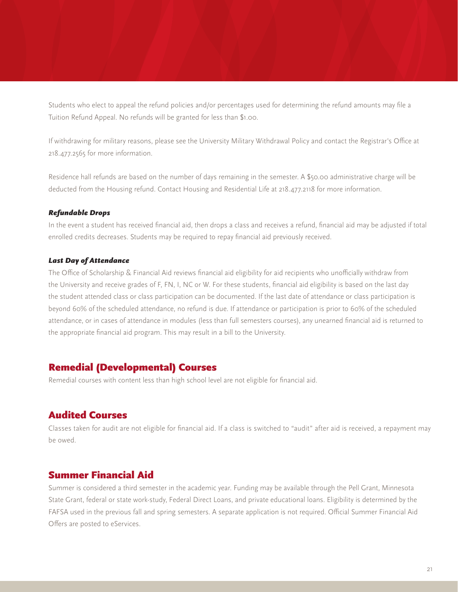Students who elect to appeal the refund policies and/or percentages used for determining the refund amounts may file a Tuition Refund Appeal. No refunds will be granted for less than \$1.00.

If withdrawing for military reasons, please see the University Military Withdrawal Policy and contact the Registrar's Office at 218.477.2565 for more information.

Residence hall refunds are based on the number of days remaining in the semester. A \$50.00 administrative charge will be deducted from the Housing refund. Contact Housing and Residential Life at 218.477.2118 for more information.

#### *Refundable Drops*

In the event a student has received financial aid, then drops a class and receives a refund, financial aid may be adjusted if total enrolled credits decreases. Students may be required to repay financial aid previously received.

#### *Last Day of Attendance*

The Office of Scholarship & Financial Aid reviews financial aid eligibility for aid recipients who unofficially withdraw from the University and receive grades of F, FN, I, NC or W. For these students, financial aid eligibility is based on the last day the student attended class or class participation can be documented. If the last date of attendance or class participation is beyond 60% of the scheduled attendance, no refund is due. If attendance or participation is prior to 60% of the scheduled attendance, or in cases of attendance in modules (less than full semesters courses), any unearned financial aid is returned to the appropriate financial aid program. This may result in a bill to the University.

# Remedial (Developmental) Courses

Remedial courses with content less than high school level are not eligible for financial aid.

# Audited Courses

Classes taken for audit are not eligible for financial aid. If a class is switched to "audit" after aid is received, a repayment may be owed.

# Summer Financial Aid

Summer is considered a third semester in the academic year. Funding may be available through the Pell Grant, Minnesota State Grant, federal or state work-study, Federal Direct Loans, and private educational loans. Eligibility is determined by the FAFSA used in the previous fall and spring semesters. A separate application is not required. Official Summer Financial Aid Offers are posted to eServices.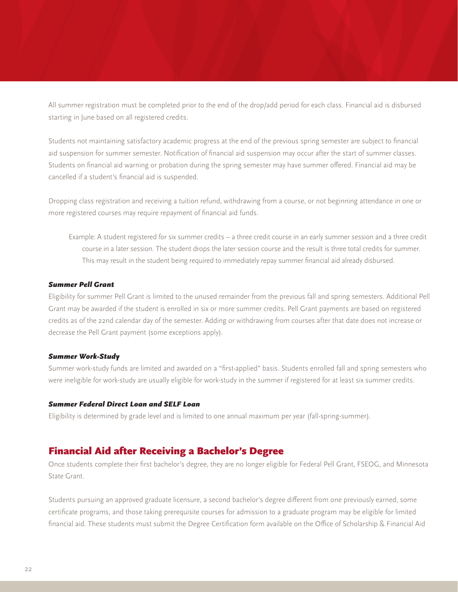All summer registration must be completed prior to the end of the drop/add period for each class. Financial aid is disbursed starting in June based on all registered credits.

Students not maintaining satisfactory academic progress at the end of the previous spring semester are subject to financial aid suspension for summer semester. Notification of financial aid suspension may occur after the start of summer classes. Students on financial aid warning or probation during the spring semester may have summer offered. Financial aid may be cancelled if a student's financial aid is suspended.

Dropping class registration and receiving a tuition refund, withdrawing from a course, or not beginning attendance in one or more registered courses may require repayment of financial aid funds.

Example: A student registered for six summer credits – a three credit course in an early summer session and a three credit course in a later session. The student drops the later session course and the result is three total credits for summer. This may result in the student being required to immediately repay summer financial aid already disbursed.

#### *Summer Pell Grant*

Eligibility for summer Pell Grant is limited to the unused remainder from the previous fall and spring semesters. Additional Pell Grant may be awarded if the student is enrolled in six or more summer credits. Pell Grant payments are based on registered credits as of the 22nd calendar day of the semester. Adding or withdrawing from courses after that date does not increase or decrease the Pell Grant payment (some exceptions apply).

#### *Summer Work-Study*

Summer work-study funds are limited and awarded on a "first-applied" basis. Students enrolled fall and spring semesters who were ineligible for work-study are usually eligible for work-study in the summer if registered for at least six summer credits.

#### *Summer Federal Direct Loan and SELF Loan*

Eligibility is determined by grade level and is limited to one annual maximum per year (fall-spring-summer).

#### Financial Aid after Receiving a Bachelor's Degree

Once students complete their first bachelor's degree, they are no longer eligible for Federal Pell Grant, FSEOG, and Minnesota State Grant.

Students pursuing an approved graduate licensure, a second bachelor's degree different from one previously earned, some certificate programs, and those taking prerequisite courses for admission to a graduate program may be eligible for limited financial aid. These students must submit the Degree Certification form available on the Office of Scholarship & Financial Aid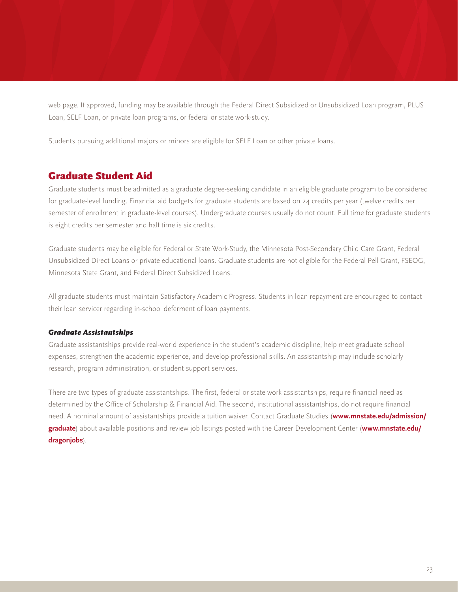web page. If approved, funding may be available through the Federal Direct Subsidized or Unsubsidized Loan program, PLUS Loan, SELF Loan, or private loan programs, or federal or state work-study.

Students pursuing additional majors or minors are eligible for SELF Loan or other private loans.

# Graduate Student Aid

Graduate students must be admitted as a graduate degree-seeking candidate in an eligible graduate program to be considered for graduate-level funding. Financial aid budgets for graduate students are based on 24 credits per year (twelve credits per semester of enrollment in graduate-level courses). Undergraduate courses usually do not count. Full time for graduate students is eight credits per semester and half time is six credits.

Graduate students may be eligible for Federal or State Work-Study, the Minnesota Post-Secondary Child Care Grant, Federal Unsubsidized Direct Loans or private educational loans. Graduate students are not eligible for the Federal Pell Grant, FSEOG, Minnesota State Grant, and Federal Direct Subsidized Loans.

All graduate students must maintain Satisfactory Academic Progress. Students in loan repayment are encouraged to contact their loan servicer regarding in-school deferment of loan payments.

#### *Graduate Assistantships*

Graduate assistantships provide real-world experience in the student's academic discipline, help meet graduate school expenses, strengthen the academic experience, and develop professional skills. An assistantship may include scholarly research, program administration, or student support services.

There are two types of graduate assistantships. The first, federal or state work assistantships, require financial need as determined by the Office of Scholarship & Financial Aid. The second, institutional assistantships, do not require financial need. A nominal amount of assistantships provide a tuition waiver. Contact Graduate Studies (**www.mnstate.edu/admission/ graduate**) about available positions and review job listings posted with the Career Development Center (**www.mnstate.edu/ dragonjobs**).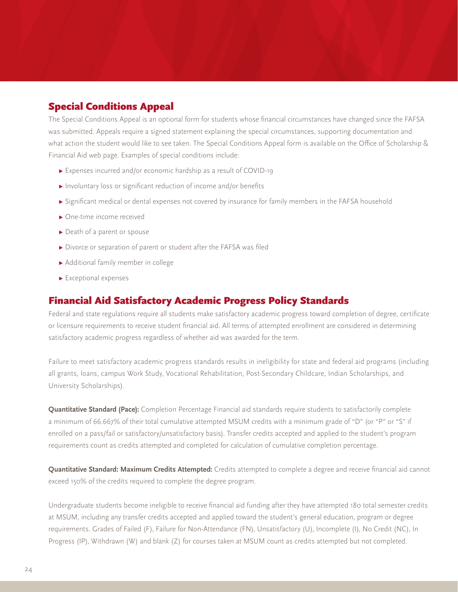# Special Conditions Appeal

The Special Conditions Appeal is an optional form for students whose financial circumstances have changed since the FAFSA was submitted. Appeals require a signed statement explaining the special circumstances, supporting documentation and what action the student would like to see taken. The Special Conditions Appeal form is available on the Office of Scholarship & Financial Aid web page. Examples of special conditions include:

- **▸** Expenses incurred and/or economic hardship as a result of COVID-19
- **▸** Involuntary loss or significant reduction of income and/or benefits
- **▸** Significant medical or dental expenses not covered by insurance for family members in the FAFSA household
- **▸** One-time income received
- **▸** Death of a parent or spouse
- **▸** Divorce or separation of parent or student after the FAFSA was filed
- **▸** Additional family member in college
- **▸** Exceptional expenses

# Financial Aid Satisfactory Academic Progress Policy Standards

Federal and state regulations require all students make satisfactory academic progress toward completion of degree, certificate or licensure requirements to receive student financial aid. All terms of attempted enrollment are considered in determining satisfactory academic progress regardless of whether aid was awarded for the term.

Failure to meet satisfactory academic progress standards results in ineligibility for state and federal aid programs (including all grants, loans, campus Work Study, Vocational Rehabilitation, Post-Secondary Childcare, Indian Scholarships, and University Scholarships).

**Quantitative Standard (Pace):** Completion Percentage Financial aid standards require students to satisfactorily complete a minimum of 66.667% of their total cumulative attempted MSUM credits with a minimum grade of "D" (or "P" or "S" if enrolled on a pass/fail or satisfactory/unsatisfactory basis). Transfer credits accepted and applied to the student's program requirements count as credits attempted and completed for calculation of cumulative completion percentage.

**Quantitative Standard: Maximum Credits Attempted:** Credits attempted to complete a degree and receive financial aid cannot exceed 150% of the credits required to complete the degree program.

Undergraduate students become ineligible to receive financial aid funding after they have attempted 180 total semester credits at MSUM, including any transfer credits accepted and applied toward the student's general education, program or degree requirements. Grades of Failed (F), Failure for Non-Attendance (FN), Unsatisfactory (U), Incomplete (I), No Credit (NC), In Progress (IP), Withdrawn (W) and blank (Z) for courses taken at MSUM count as credits attempted but not completed.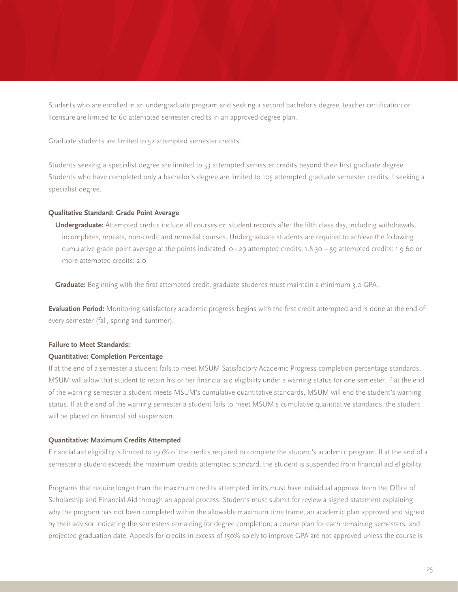Students who are enrolled in an undergraduate program and seeking a second bachelor's degree, teacher certification or licensure are limited to 60 attempted semester credits in an approved degree plan.

Graduate students are limited to 52 attempted semester credits.

Students seeking a specialist degree are limited to 53 attempted semester credits beyond their first graduate degree. Students who have completed only a bachelor's degree are limited to 105 attempted graduate semester credits if seeking a specialist degree.

#### **Qualitative Standard: Grade Point Average**

**Undergraduate:** Attempted credits include all courses on student records after the fifth class day, including withdrawals, incompletes, repeats, non-credit and remedial courses. Undergraduate students are required to achieve the following cumulative grade point average at the points indicated: 0 - 29 attempted credits: 1.8 30 – 59 attempted credits: 1.9 60 or more attempted credits: 2.0

**Graduate:** Beginning with the first attempted credit, graduate students must maintain a minimum 3.0 GPA.

**Evaluation Period:** Monitoring satisfactory academic progress begins with the first credit attempted and is done at the end of every semester (fall, spring and summer).

#### **Failure to Meet Standards:**

#### **Quantitative: Completion Percentage**

If at the end of a semester a student fails to meet MSUM Satisfactory Academic Progress completion percentage standards, MSUM will allow that student to retain his or her financial aid eligibility under a warning status for one semester. If at the end of the warning semester a student meets MSUM's cumulative quantitative standards, MSUM will end the student's warning status. If at the end of the warning semester a student fails to meet MSUM's cumulative quantitative standards, the student will be placed on financial aid suspension.

#### **Quantitative: Maximum Credits Attempted**

Financial aid eligibility is limited to 150% of the credits required to complete the student's academic program. If at the end of a semester a student exceeds the maximum credits attempted standard, the student is suspended from financial aid eligibility.

Programs that require longer than the maximum credits attempted limits must have individual approval from the Office of Scholarship and Financial Aid through an appeal process. Students must submit for review a signed statement explaining why the program has not been completed within the allowable maximum time frame; an academic plan approved and signed by their advisor indicating the semesters remaining for degree completion; a course plan for each remaining semesters; and projected graduation date. Appeals for credits in excess of 150% solely to improve GPA are not approved unless the course is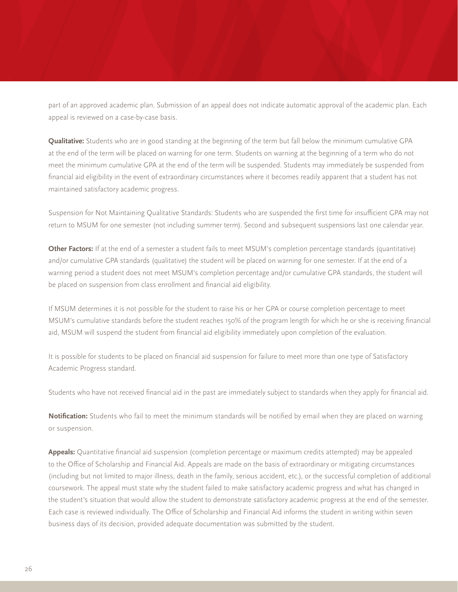part of an approved academic plan. Submission of an appeal does not indicate automatic approval of the academic plan. Each appeal is reviewed on a case-by-case basis.

**Qualitative:** Students who are in good standing at the beginning of the term but fall below the minimum cumulative GPA at the end of the term will be placed on warning for one term. Students on warning at the beginning of a term who do not meet the minimum cumulative GPA at the end of the term will be suspended. Students may immediately be suspended from financial aid eligibility in the event of extraordinary circumstances where it becomes readily apparent that a student has not maintained satisfactory academic progress.

Suspension for Not Maintaining Qualitative Standards: Students who are suspended the first time for insufficient GPA may not return to MSUM for one semester (not including summer term). Second and subsequent suspensions last one calendar year.

**Other Factors:** If at the end of a semester a student fails to meet MSUM's completion percentage standards (quantitative) and/or cumulative GPA standards (qualitative) the student will be placed on warning for one semester. If at the end of a warning period a student does not meet MSUM's completion percentage and/or cumulative GPA standards, the student will be placed on suspension from class enrollment and financial aid eligibility.

If MSUM determines it is not possible for the student to raise his or her GPA or course completion percentage to meet MSUM's cumulative standards before the student reaches 150% of the program length for which he or she is receiving financial aid, MSUM will suspend the student from financial aid eligibility immediately upon completion of the evaluation.

It is possible for students to be placed on financial aid suspension for failure to meet more than one type of Satisfactory Academic Progress standard.

Students who have not received financial aid in the past are immediately subject to standards when they apply for financial aid.

**Notification:** Students who fail to meet the minimum standards will be notified by email when they are placed on warning or suspension.

**Appeals:** Quantitative financial aid suspension (completion percentage or maximum credits attempted) may be appealed to the Office of Scholarship and Financial Aid. Appeals are made on the basis of extraordinary or mitigating circumstances (including but not limited to major illness, death in the family, serious accident, etc.), or the successful completion of additional coursework. The appeal must state why the student failed to make satisfactory academic progress and what has changed in the student's situation that would allow the student to demonstrate satisfactory academic progress at the end of the semester. Each case is reviewed individually. The Office of Scholarship and Financial Aid informs the student in writing within seven business days of its decision, provided adequate documentation was submitted by the student.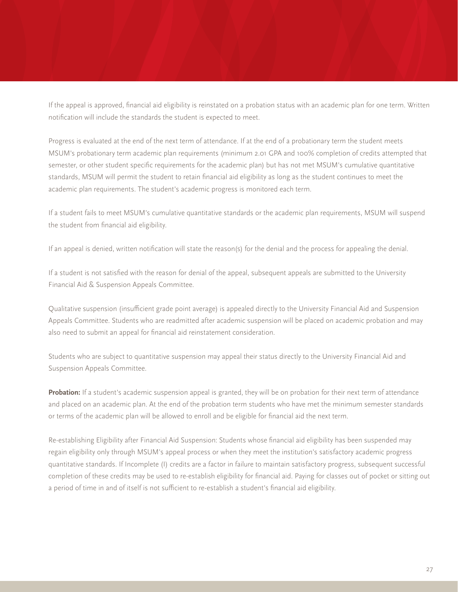If the appeal is approved, financial aid eligibility is reinstated on a probation status with an academic plan for one term. Written notification will include the standards the student is expected to meet.

Progress is evaluated at the end of the next term of attendance. If at the end of a probationary term the student meets MSUM's probationary term academic plan requirements (minimum 2.01 GPA and 100% completion of credits attempted that semester, or other student specific requirements for the academic plan) but has not met MSUM's cumulative quantitative standards, MSUM will permit the student to retain financial aid eligibility as long as the student continues to meet the academic plan requirements. The student's academic progress is monitored each term.

If a student fails to meet MSUM's cumulative quantitative standards or the academic plan requirements, MSUM will suspend the student from financial aid eligibility.

If an appeal is denied, written notification will state the reason(s) for the denial and the process for appealing the denial.

If a student is not satisfied with the reason for denial of the appeal, subsequent appeals are submitted to the University Financial Aid & Suspension Appeals Committee.

Qualitative suspension (insufficient grade point average) is appealed directly to the University Financial Aid and Suspension Appeals Committee. Students who are readmitted after academic suspension will be placed on academic probation and may also need to submit an appeal for financial aid reinstatement consideration.

Students who are subject to quantitative suspension may appeal their status directly to the University Financial Aid and Suspension Appeals Committee.

**Probation:** If a student's academic suspension appeal is granted, they will be on probation for their next term of attendance and placed on an academic plan. At the end of the probation term students who have met the minimum semester standards or terms of the academic plan will be allowed to enroll and be eligible for financial aid the next term.

Re-establishing Eligibility after Financial Aid Suspension: Students whose financial aid eligibility has been suspended may regain eligibility only through MSUM's appeal process or when they meet the institution's satisfactory academic progress quantitative standards. If Incomplete (I) credits are a factor in failure to maintain satisfactory progress, subsequent successful completion of these credits may be used to re-establish eligibility for financial aid. Paying for classes out of pocket or sitting out a period of time in and of itself is not sufficient to re-establish a student's financial aid eligibility.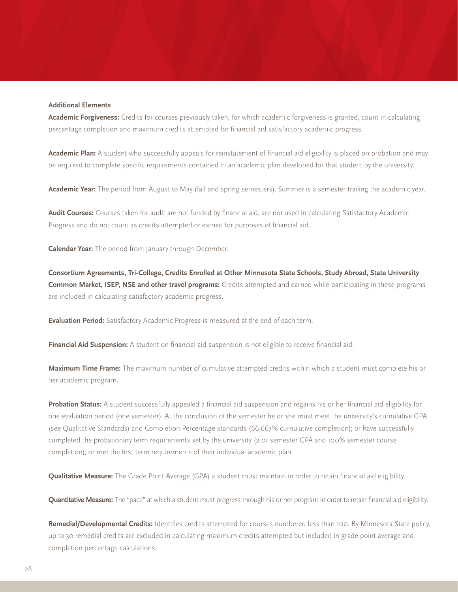#### **Additional Elements**

**Academic Forgiveness:** Credits for courses previously taken, for which academic forgiveness is granted, count in calculating percentage completion and maximum credits attempted for financial aid satisfactory academic progress.

**Academic Plan:** A student who successfully appeals for reinstatement of financial aid eligibility is placed on probation and may be required to complete specific requirements contained in an academic plan developed for that student by the university.

**Academic Year:** The period from August to May (fall and spring semesters). Summer is a semester trailing the academic year.

**Audit Courses:** Courses taken for audit are not funded by financial aid, are not used in calculating Satisfactory Academic Progress and do not count as credits attempted or earned for purposes of financial aid.

**Calendar Year:** The period from January through December.

**Consortium Agreements, Tri-College, Credits Enrolled at Other Minnesota State Schools, Study Abroad, State University Common Market, ISEP, NSE and other travel programs:** Credits attempted and earned while participating in these programs are included in calculating satisfactory academic progress.

**Evaluation Period:** Satisfactory Academic Progress is measured at the end of each term.

**Financial Aid Suspension:** A student on financial aid suspension is not eligible to receive financial aid.

**Maximum Time Frame:** The maximum number of cumulative attempted credits within which a student must complete his or her academic program.

**Probation Status:** A student successfully appealed a financial aid suspension and regains his or her financial aid eligibility for one evaluation period (one semester). At the conclusion of the semester he or she must meet the university's cumulative GPA (see Qualitative Standards) and Completion Percentage standards (66.667% cumulative completion); or have successfully completed the probationary term requirements set by the university (2.01 semester GPA and 100% semester course completion); or met the first term requirements of their individual academic plan.

**Qualitative Measure:** The Grade Point Average (GPA) a student must maintain in order to retain financial aid eligibility.

**Quantitative Measure:** The "pace" at which a student must progress through his or her program in order to retain financial aid eligibility.

**Remedial/Developmental Credits:** Identifies credits attempted for courses numbered less than 100. By Minnesota State policy, up to 30 remedial credits are excluded in calculating maximum credits attempted but included in grade point average and completion percentage calculations.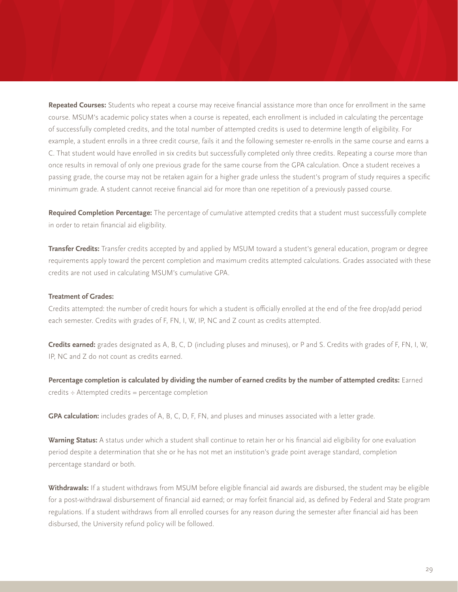**Repeated Courses:** Students who repeat a course may receive financial assistance more than once for enrollment in the same course. MSUM's academic policy states when a course is repeated, each enrollment is included in calculating the percentage of successfully completed credits, and the total number of attempted credits is used to determine length of eligibility. For example, a student enrolls in a three credit course, fails it and the following semester re-enrolls in the same course and earns a C. That student would have enrolled in six credits but successfully completed only three credits. Repeating a course more than once results in removal of only one previous grade for the same course from the GPA calculation. Once a student receives a passing grade, the course may not be retaken again for a higher grade unless the student's program of study requires a specific minimum grade. A student cannot receive financial aid for more than one repetition of a previously passed course.

**Required Completion Percentage:** The percentage of cumulative attempted credits that a student must successfully complete in order to retain financial aid eligibility.

**Transfer Credits:** Transfer credits accepted by and applied by MSUM toward a student's general education, program or degree requirements apply toward the percent completion and maximum credits attempted calculations. Grades associated with these credits are not used in calculating MSUM's cumulative GPA.

#### **Treatment of Grades:**

Credits attempted: the number of credit hours for which a student is officially enrolled at the end of the free drop/add period each semester. Credits with grades of F, FN, I, W, IP, NC and Z count as credits attempted.

**Credits earned:** grades designated as A, B, C, D (including pluses and minuses), or P and S. Credits with grades of F, FN, I, W, IP, NC and Z do not count as credits earned.

Percentage completion is calculated by dividing the number of earned credits by the number of attempted credits: Earned credits ÷ Attempted credits = percentage completion

**GPA calculation:** includes grades of A, B, C, D, F, FN, and pluses and minuses associated with a letter grade.

**Warning Status:** A status under which a student shall continue to retain her or his financial aid eligibility for one evaluation period despite a determination that she or he has not met an institution's grade point average standard, completion percentage standard or both.

**Withdrawals:** If a student withdraws from MSUM before eligible financial aid awards are disbursed, the student may be eligible for a post-withdrawal disbursement of financial aid earned; or may forfeit financial aid, as defined by Federal and State program regulations. If a student withdraws from all enrolled courses for any reason during the semester after financial aid has been disbursed, the University refund policy will be followed.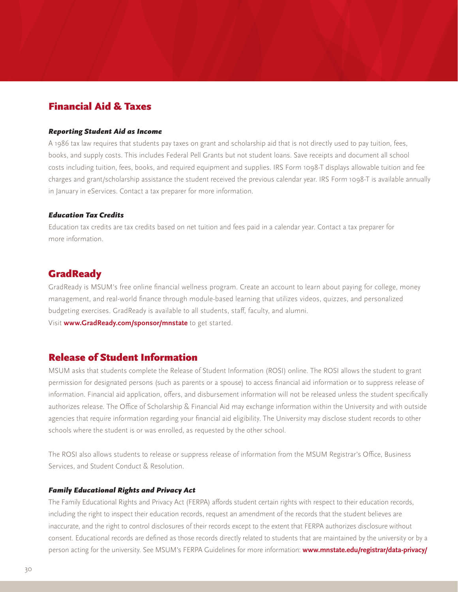# Financial Aid & Taxes

#### *Reporting Student Aid as Income*

A 1986 tax law requires that students pay taxes on grant and scholarship aid that is not directly used to pay tuition, fees, books, and supply costs. This includes Federal Pell Grants but not student loans. Save receipts and document all school costs including tuition, fees, books, and required equipment and supplies. IRS Form 1098-T displays allowable tuition and fee charges and grant/scholarship assistance the student received the previous calendar year. IRS Form 1098-T is available annually in January in eServices. Contact a tax preparer for more information.

#### *Education Tax Credits*

Education tax credits are tax credits based on net tuition and fees paid in a calendar year. Contact a tax preparer for more information.

# **GradReady**

GradReady is MSUM's free online financial wellness program. Create an account to learn about paying for college, money management, and real-world finance through module-based learning that utilizes videos, quizzes, and personalized budgeting exercises. GradReady is available to all students, staff, faculty, and alumni. Visit **www.GradReady.com/sponsor/mnstate** to get started.

### Release of Student Information

MSUM asks that students complete the Release of Student Information (ROSI) online. The ROSI allows the student to grant permission for designated persons (such as parents or a spouse) to access financial aid information or to suppress release of information. Financial aid application, offers, and disbursement information will not be released unless the student specifically authorizes release. The Office of Scholarship & Financial Aid may exchange information within the University and with outside agencies that require information regarding your financial aid eligibility. The University may disclose student records to other schools where the student is or was enrolled, as requested by the other school.

The ROSI also allows students to release or suppress release of information from the MSUM Registrar's Office, Business Services, and Student Conduct & Resolution.

#### *Family Educational Rights and Privacy Act*

The Family Educational Rights and Privacy Act (FERPA) affords student certain rights with respect to their education records, including the right to inspect their education records, request an amendment of the records that the student believes are inaccurate, and the right to control disclosures of their records except to the extent that FERPA authorizes disclosure without consent. Educational records are defined as those records directly related to students that are maintained by the university or by a person acting for the university. See MSUM's FERPA Guidelines for more information: **www.mnstate.edu/registrar/data-privacy/**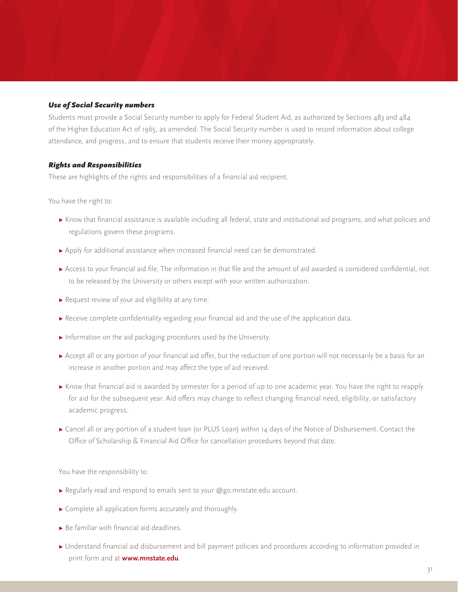#### *Use of Social Security numbers*

Students must provide a Social Security number to apply for Federal Student Aid, as authorized by Sections 483 and 484 of the Higher Education Act of 1965, as amended. The Social Security number is used to record information about college attendance, and progress, and to ensure that students receive their money appropriately.

#### *Rights and Responsibilities*

These are highlights of the rights and responsibilities of a financial aid recipient.

You have the right to:

- **▸** Know that financial assistance is available including all federal, state and institutional aid programs, and what policies and regulations govern these programs.
- **▸** Apply for additional assistance when increased financial need can be demonstrated.
- **▸** Access to your financial aid file. The information in that file and the amount of aid awarded is considered confidential, not to be released by the University or others except with your written authorization.
- **▸** Request review of your aid eligibility at any time.
- **▸** Receive complete confidentiality regarding your financial aid and the use of the application data.
- **▸** Information on the aid packaging procedures used by the University.
- ▶ Accept all or any portion of your financial aid offer, but the reduction of one portion will not necessarily be a basis for an increase in another portion and may affect the type of aid received.
- **▸** Know that financial aid is awarded by semester for a period of up to one academic year. You have the right to reapply for aid for the subsequent year. Aid offers may change to reflect changing financial need, eligibility, or satisfactory academic progress.
- **▸** Cancel all or any portion of a student loan (or PLUS Loan) within 14 days of the Notice of Disbursement. Contact the Office of Scholarship & Financial Aid Office for cancellation procedures beyond that date.

You have the responsibility to:

- **▸** Regularly read and respond to emails sent to your @go.mnstate.edu account.
- **▸** Complete all application forms accurately and thoroughly.
- **▸** Be familiar with financial aid deadlines.
- **▸** Understand financial aid disbursement and bill payment policies and procedures according to information provided in print form and at **www.mnstate.edu**.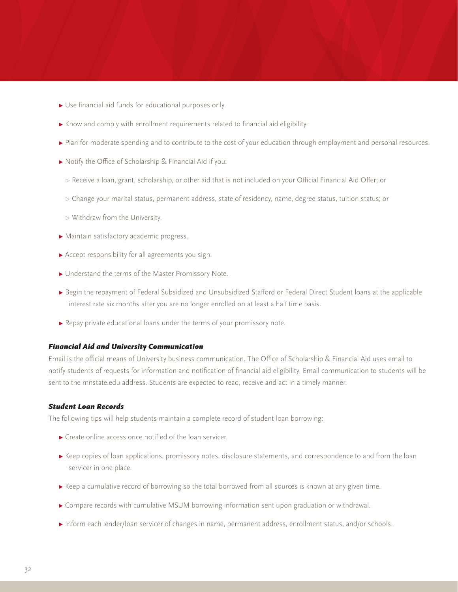- **▸** Use financial aid funds for educational purposes only.
- **▸** Know and comply with enrollment requirements related to financial aid eligibility.
- ▶ Plan for moderate spending and to contribute to the cost of your education through employment and personal resources.
- **▸** Notify the Office of Scholarship & Financial Aid if you:
	- *▹* Receive a loan, grant, scholarship, or other aid that is not included on your Official Financial Aid Offer; or
	- *▹* Change your marital status, permanent address, state of residency, name, degree status, tuition status; or
	- *▹* Withdraw from the University.
- **▸** Maintain satisfactory academic progress.
- **▸** Accept responsibility for all agreements you sign.
- **▸** Understand the terms of the Master Promissory Note.
- **▸** Begin the repayment of Federal Subsidized and Unsubsidized Stafford or Federal Direct Student loans at the applicable interest rate six months after you are no longer enrolled on at least a half time basis.
- **▸** Repay private educational loans under the terms of your promissory note.

#### *Financial Aid and University Communication*

Email is the official means of University business communication. The Office of Scholarship & Financial Aid uses email to notify students of requests for information and notification of financial aid eligibility. Email communication to students will be sent to the mnstate.edu address. Students are expected to read, receive and act in a timely manner.

#### *Student Loan Records*

The following tips will help students maintain a complete record of student loan borrowing:

- **▸** Create online access once notified of the loan servicer.
- ▶ Keep copies of loan applications, promissory notes, disclosure statements, and correspondence to and from the loan servicer in one place.
- **▸** Keep a cumulative record of borrowing so the total borrowed from all sources is known at any given time.
- **▸** Compare records with cumulative MSUM borrowing information sent upon graduation or withdrawal.
- **▸** Inform each lender/loan servicer of changes in name, permanent address, enrollment status, and/or schools.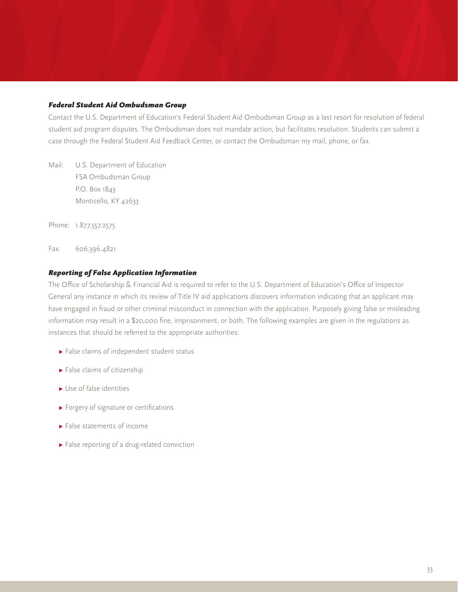#### *Federal Student Aid Ombudsman Group*

Contact the U.S. Department of Education's Federal Student Aid Ombudsman Group as a last resort for resolution of federal student aid program disputes. The Ombudsman does not mandate action, but facilitates resolution. Students can submit a case through the Federal Student Aid Feedback Center, or contact the Ombudsman my mail, phone, or fax.

Mail: U.S. Department of Education FSA Ombudsman Group P.O. Box 1843 Monticello, KY 42633

Phone: 1.877.557.2575

Fax: 606.396.4821

#### *Reporting of False Application Information*

The Office of Scholarship & Financial Aid is required to refer to the U.S. Department of Education's Office of Inspector General any instance in which its review of Title IV aid applications discovers information indicating that an applicant may have engaged in fraud or other criminal misconduct in connection with the application. Purposely giving false or misleading information may result in a \$20,000 fine, imprisonment, or both. The following examples are given in the regulations as instances that should be referred to the appropriate authorities:

- **▸** False claims of independent student status
- **▸** False claims of citizenship
- **▸** Use of false identities
- **▸** Forgery of signature or certifications
- **▸** False statements of income
- **▸** False reporting of a drug-related conviction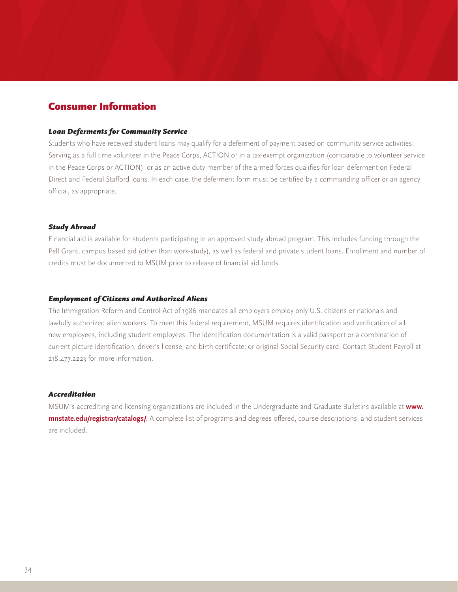# Consumer Information

#### *Loan Deferments for Community Service*

Students who have received student loans may qualify for a deferment of payment based on community service activities. Serving as a full time volunteer in the Peace Corps, ACTION or in a tax-exempt organization (comparable to volunteer service in the Peace Corps or ACTION), or as an active duty member of the armed forces qualifies for loan deferment on Federal Direct and Federal Stafford loans. In each case, the deferment form must be certified by a commanding officer or an agency official, as appropriate.

#### *Study Abroad*

Financial aid is available for students participating in an approved study abroad program. This includes funding through the Pell Grant, campus based aid (other than work-study), as well as federal and private student loans. Enrollment and number of credits must be documented to MSUM prior to release of financial aid funds.

#### *Employment of Citizens and Authorized Aliens*

The Immigration Reform and Control Act of 1986 mandates all employers employ only U.S. citizens or nationals and lawfully authorized alien workers. To meet this federal requirement, MSUM requires identification and verification of all new employees, including student employees. The identification documentation is a valid passport or a combination of current picture identification, driver's license, and birth certificate; or original Social Security card. Contact Student Payroll at 218.477.2223 for more information.

#### *Accreditation*

MSUM's accrediting and licensing organizations are included in the Undergraduate and Graduate Bulletins available at **www. mnstate.edu/registrar/catalogs/**. A complete list of programs and degrees offered, course descriptions, and student services are included.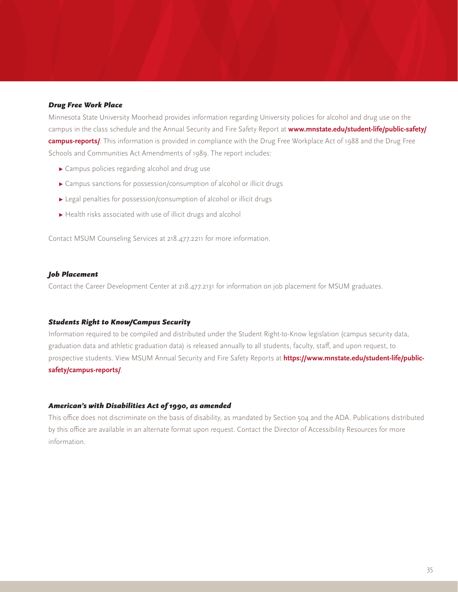#### *Drug Free Work Place*

Minnesota State University Moorhead provides information regarding University policies for alcohol and drug use on the campus in the class schedule and the Annual Security and Fire Safety Report at **www.mnstate.edu/student-life/public-safety/ campus-reports/**. This information is provided in compliance with the Drug Free Workplace Act of 1988 and the Drug Free Schools and Communities Act Amendments of 1989. The report includes:

- **▸** Campus policies regarding alcohol and drug use
- **▸** Campus sanctions for possession/consumption of alcohol or illicit drugs
- **▸** Legal penalties for possession/consumption of alcohol or illicit drugs
- **▸** Health risks associated with use of illicit drugs and alcohol

Contact MSUM Counseling Services at 218.477.2211 for more information.

#### *Job Placement*

Contact the Career Development Center at 218.477.2131 for information on job placement for MSUM graduates.

#### *Students Right to Know/Campus Security*

Information required to be compiled and distributed under the Student Right-to-Know legislation (campus security data, graduation data and athletic graduation data) is released annually to all students, faculty, staff, and upon request, to prospective students. View MSUM Annual Security and Fire Safety Reports at **https://www.mnstate.edu/student-life/publicsafety/campus-reports/**.

#### *American's with Disabilities Act of 1990, as amended*

This office does not discriminate on the basis of disability, as mandated by Section 504 and the ADA. Publications distributed by this office are available in an alternate format upon request. Contact the Director of Accessibility Resources for more information.